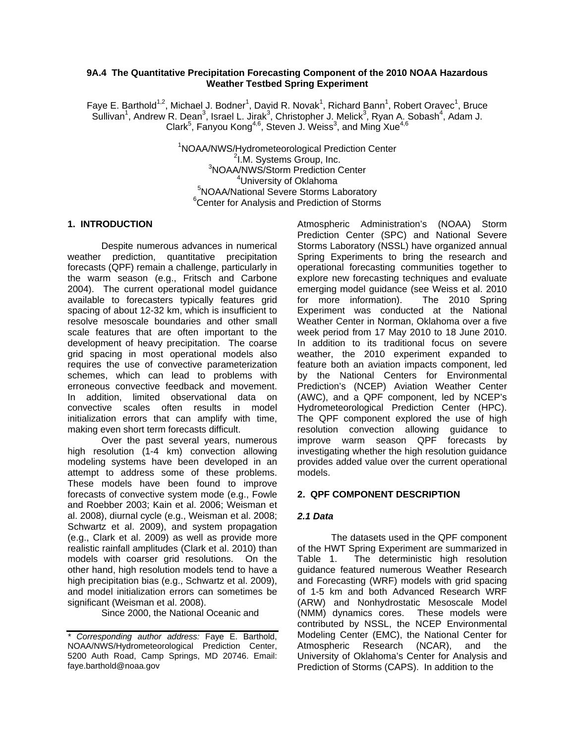## **9A.4 The Quantitative Precipitation Forecasting Component of the 2010 NOAA Hazardous Weather Testbed Spring Experiment**

Faye E. Barthold<sup>1,2</sup>, Michael J. Bodner<sup>1</sup>, David R. Novak<sup>1</sup>, Richard Bann<sup>1</sup>, Robert Oravec<sup>1</sup>, Bruce Sullivan<sup>1</sup>, Andrew R. Dean<sup>3</sup>, Israel L. Jirak<sup>3</sup>, Christopher J. Melick<sup>3</sup>, Ryan A. Sobash<sup>4</sup>, Adam J. Clark<sup>5</sup>, Fanyou Kong<sup>4,6</sup>, Steven J. Weiss<sup>3</sup>, and Ming Xue<sup>4,6</sup>

> <sup>1</sup>NOAA/NWS/Hydrometeorological Prediction Center <sup>2</sup>I.M. Systems Group, Inc. <sup>3</sup>NOAA/NWS/Storm Prediction Center <sup>4</sup>University of Oklahoma University of Oklahoma<sup>4</sup><br>SNOAA (National Sovers Sterme La <sup>S</sup>NOAA/National Severe Storms Laboratory<br><sup>6</sup>Center for Anglusia and Prediction of Storms  $6$ Center for Analysis and Prediction of Storms

## **1. INTRODUCTION**

 Despite numerous advances in numerical weather prediction, quantitative precipitation forecasts (QPF) remain a challenge, particularly in the warm season (e.g., Fritsch and Carbone 2004). The current operational model guidance available to forecasters typically features grid spacing of about 12-32 km, which is insufficient to resolve mesoscale boundaries and other small scale features that are often important to the development of heavy precipitation. The coarse grid spacing in most operational models also requires the use of convective parameterization schemes, which can lead to problems with erroneous convective feedback and movement. In addition, limited observational data on convective scales often results in model initialization errors that can amplify with time, making even short term forecasts difficult.

 Over the past several years, numerous high resolution (1-4 km) convection allowing modeling systems have been developed in an attempt to address some of these problems. These models have been found to improve forecasts of convective system mode (e.g., Fowle and Roebber 2003; Kain et al. 2006; Weisman et al. 2008), diurnal cycle (e.g., Weisman et al. 2008; Schwartz et al. 2009), and system propagation (e.g., Clark et al. 2009) as well as provide more realistic rainfall amplitudes (Clark et al. 2010) than models with coarser grid resolutions. On the other hand, high resolution models tend to have a high precipitation bias (e.g., Schwartz et al. 2009), and model initialization errors can sometimes be significant (Weisman et al. 2008).

Since 2000, the National Oceanic and

Atmospheric Administration's (NOAA) Storm Prediction Center (SPC) and National Severe Storms Laboratory (NSSL) have organized annual Spring Experiments to bring the research and operational forecasting communities together to explore new forecasting techniques and evaluate emerging model guidance (see Weiss et al. 2010 for more information). The 2010 Spring Experiment was conducted at the National Weather Center in Norman, Oklahoma over a five week period from 17 May 2010 to 18 June 2010. In addition to its traditional focus on severe weather, the 2010 experiment expanded to feature both an aviation impacts component, led by the National Centers for Environmental Prediction's (NCEP) Aviation Weather Center (AWC), and a QPF component, led by NCEP's Hydrometeorological Prediction Center (HPC). The QPF component explored the use of high resolution convection allowing guidance to improve warm season QPF forecasts by investigating whether the high resolution guidance provides added value over the current operational models.

# **2. QPF COMPONENT DESCRIPTION**

# *2.1 Data*

 The datasets used in the QPF component of the HWT Spring Experiment are summarized in<br>Table 1. The deterministic high resolution The deterministic high resolution guidance featured numerous Weather Research and Forecasting (WRF) models with grid spacing of 1-5 km and both Advanced Research WRF (ARW) and Nonhydrostatic Mesoscale Model (NMM) dynamics cores. These models were contributed by NSSL, the NCEP Environmental Modeling Center (EMC), the National Center for Atmospheric Research (NCAR), and the University of Oklahoma's Center for Analysis and Prediction of Storms (CAPS). In addition to the

*<sup>\*</sup> Corresponding author address:* Faye E. Barthold, NOAA/NWS/Hydrometeorological Prediction Center, 5200 Auth Road, Camp Springs, MD 20746. Email: faye.barthold@noaa.gov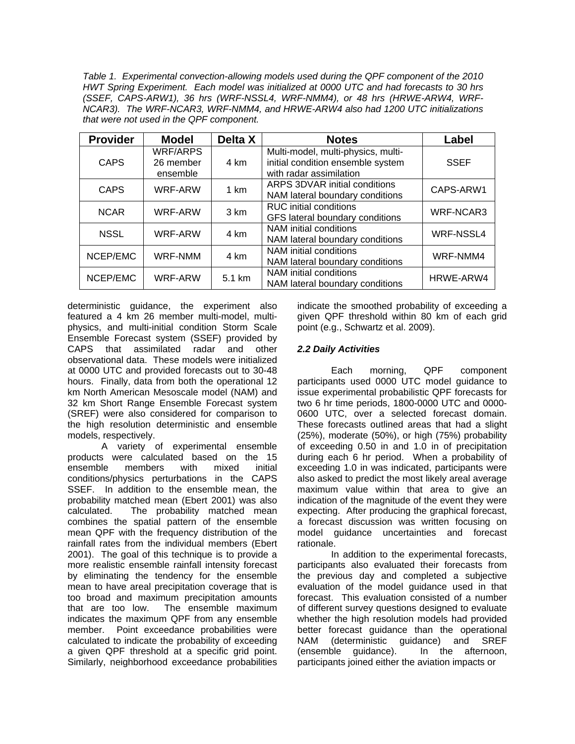*Table 1. Experimental convection-allowing models used during the QPF component of the 2010 HWT Spring Experiment. Each model was initialized at 0000 UTC and had forecasts to 30 hrs (SSEF, CAPS-ARW1), 36 hrs (WRF-NSSL4, WRF-NMM4), or 48 hrs (HRWE-ARW4, WRF-NCAR3). The WRF-NCAR3, WRF-NMM4, and HRWE-ARW4 also had 1200 UTC initializations that were not used in the QPF component.*

| <b>Provider</b> | <b>Model</b>                             | Delta X | <b>Notes</b>                                                                                       | Label            |
|-----------------|------------------------------------------|---------|----------------------------------------------------------------------------------------------------|------------------|
| <b>CAPS</b>     | <b>WRF/ARPS</b><br>26 member<br>ensemble | 4 km    | Multi-model, multi-physics, multi-<br>initial condition ensemble system<br>with radar assimilation | <b>SSEF</b>      |
| <b>CAPS</b>     | WRF-ARW                                  | 1 km    | ARPS 3DVAR initial conditions<br>NAM lateral boundary conditions                                   | CAPS-ARW1        |
| <b>NCAR</b>     | WRF-ARW                                  | 3 km    | <b>RUC</b> initial conditions<br>GFS lateral boundary conditions                                   | <b>WRF-NCAR3</b> |
| <b>NSSL</b>     | WRF-ARW                                  | 4 km    | NAM initial conditions<br>NAM lateral boundary conditions                                          | <b>WRF-NSSL4</b> |
| NCEP/EMC        | <b>WRF-NMM</b>                           | 4 km    | NAM initial conditions<br>NAM lateral boundary conditions                                          | WRF-NMM4         |
| NCEP/EMC        | WRF-ARW                                  | 5.1 km  | NAM initial conditions<br>NAM lateral boundary conditions                                          | HRWE-ARW4        |

deterministic guidance, the experiment also featured a 4 km 26 member multi-model, multiphysics, and multi-initial condition Storm Scale Ensemble Forecast system (SSEF) provided by CAPS that assimilated radar and other observational data. These models were initialized at 0000 UTC and provided forecasts out to 30-48 hours. Finally, data from both the operational 12 km North American Mesoscale model (NAM) and 32 km Short Range Ensemble Forecast system (SREF) were also considered for comparison to the high resolution deterministic and ensemble models, respectively.

A variety of experimental ensemble products were calculated based on the 15 ensemble members with mixed initial conditions/physics perturbations in the CAPS SSEF. In addition to the ensemble mean, the probability matched mean (Ebert 2001) was also calculated. The probability matched mean combines the spatial pattern of the ensemble mean QPF with the frequency distribution of the rainfall rates from the individual members (Ebert 2001). The goal of this technique is to provide a more realistic ensemble rainfall intensity forecast by eliminating the tendency for the ensemble mean to have areal precipitation coverage that is too broad and maximum precipitation amounts that are too low. The ensemble maximum indicates the maximum QPF from any ensemble member. Point exceedance probabilities were calculated to indicate the probability of exceeding a given QPF threshold at a specific grid point. Similarly, neighborhood exceedance probabilities

indicate the smoothed probability of exceeding a given QPF threshold within 80 km of each grid point (e.g., Schwartz et al. 2009).

# *2.2 Daily Activities*

 Each morning, QPF component participants used 0000 UTC model guidance to issue experimental probabilistic QPF forecasts for two 6 hr time periods, 1800-0000 UTC and 0000- 0600 UTC, over a selected forecast domain. These forecasts outlined areas that had a slight (25%), moderate (50%), or high (75%) probability of exceeding 0.50 in and 1.0 in of precipitation during each 6 hr period. When a probability of exceeding 1.0 in was indicated, participants were also asked to predict the most likely areal average maximum value within that area to give an indication of the magnitude of the event they were expecting. After producing the graphical forecast, a forecast discussion was written focusing on model guidance uncertainties and forecast rationale.

In addition to the experimental forecasts, participants also evaluated their forecasts from the previous day and completed a subjective evaluation of the model guidance used in that forecast. This evaluation consisted of a number of different survey questions designed to evaluate whether the high resolution models had provided better forecast guidance than the operational NAM (deterministic guidance) and SREF (ensemble guidance). In the afternoon, participants joined either the aviation impacts or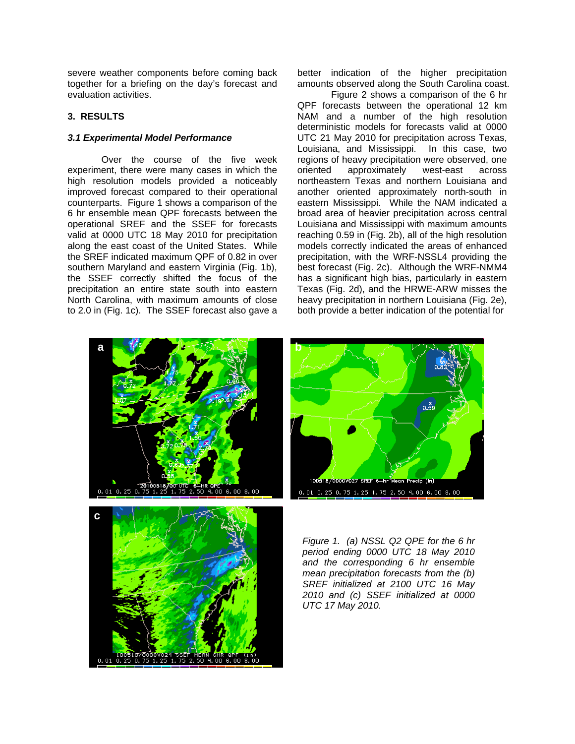severe weather components before coming back together for a briefing on the day's forecast and evaluation activities.

## **3. RESULTS**

## *3.1 Experimental Model Performance*

 Over the course of the five week experiment, there were many cases in which the high resolution models provided a noticeably improved forecast compared to their operational counterparts. Figure 1 shows a comparison of the 6 hr ensemble mean QPF forecasts between the operational SREF and the SSEF for forecasts valid at 0000 UTC 18 May 2010 for precipitation along the east coast of the United States. While the SREF indicated maximum QPF of 0.82 in over southern Maryland and eastern Virginia (Fig. 1b), the SSEF correctly shifted the focus of the precipitation an entire state south into eastern North Carolina, with maximum amounts of close to 2.0 in (Fig. 1c). The SSEF forecast also gave a better indication of the higher precipitation amounts observed along the South Carolina coast.

 Figure 2 shows a comparison of the 6 hr QPF forecasts between the operational 12 km NAM and a number of the high resolution deterministic models for forecasts valid at 0000 UTC 21 May 2010 for precipitation across Texas, Louisiana, and Mississippi. In this case, two regions of heavy precipitation were observed, one oriented approximately west-east across northeastern Texas and northern Louisiana and another oriented approximately north-south in eastern Mississippi. While the NAM indicated a broad area of heavier precipitation across central Louisiana and Mississippi with maximum amounts reaching 0.59 in (Fig. 2b), all of the high resolution models correctly indicated the areas of enhanced precipitation, with the WRF-NSSL4 providing the best forecast (Fig. 2c). Although the WRF-NMM4 has a significant high bias, particularly in eastern Texas (Fig. 2d), and the HRWE-ARW misses the heavy precipitation in northern Louisiana (Fig. 2e), both provide a better indication of the potential for







*Figure 1. (a) NSSL Q2 QPE for the 6 hr period ending 0000 UTC 18 May 2010 and the corresponding 6 hr ensemble mean precipitation forecasts from the (b) SREF initialized at 2100 UTC 16 May 2010 and (c) SSEF initialized at 0000 UTC 17 May 2010.*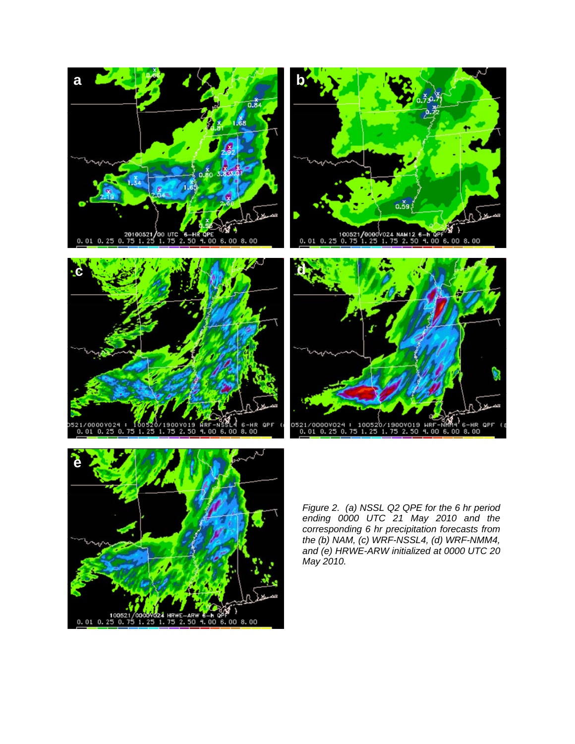









*Figure 2. (a) NSSL Q2 QPE for the 6 hr period ending 0000 UTC 21 May 2010 and the corresponding 6 hr precipitation forecasts from the (b) NAM, (c) WRF-NSSL4, (d) WRF-NMM4, and (e) HRWE-ARW initialized at 0000 UTC 20 May 2010.*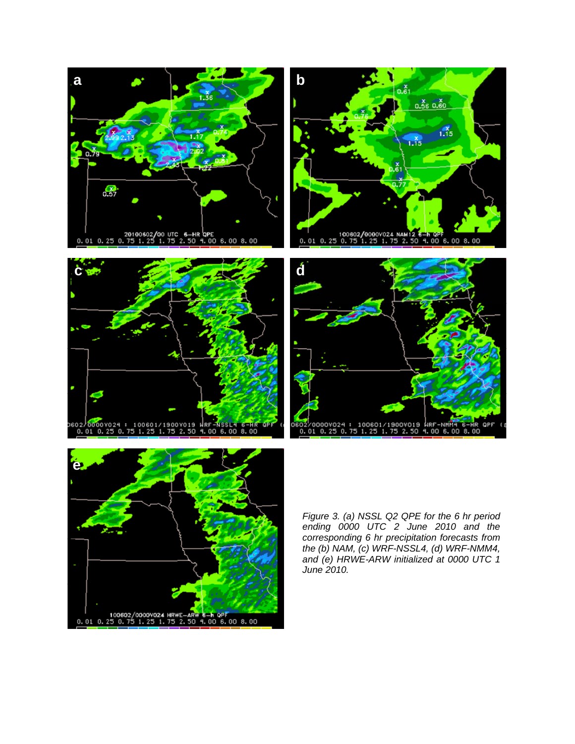









*Figure 3. (a) NSSL Q2 QPE for the 6 hr period ending 0000 UTC 2 June 2010 and the corresponding 6 hr precipitation forecasts from the (b) NAM, (c) WRF-NSSL4, (d) WRF-NMM4, and (e) HRWE-ARW initialized at 0000 UTC 1 June 2010.*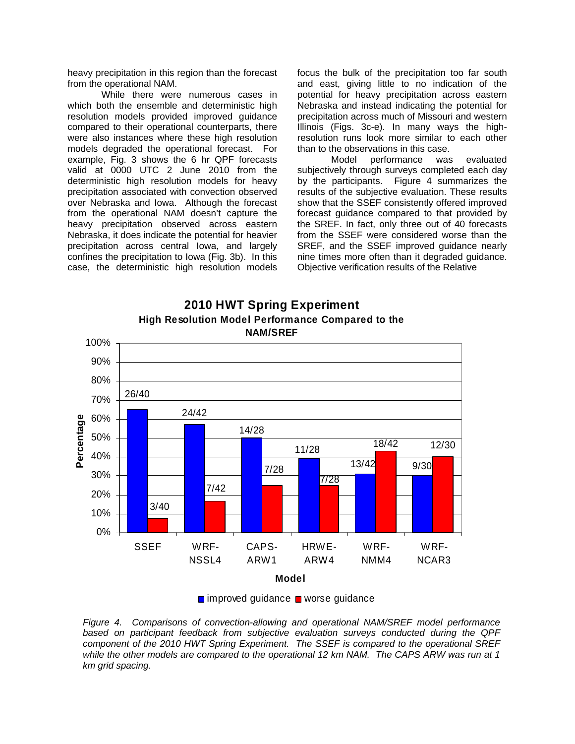heavy precipitation in this region than the forecast from the operational NAM.

 While there were numerous cases in which both the ensemble and deterministic high resolution models provided improved guidance compared to their operational counterparts, there were also instances where these high resolution models degraded the operational forecast. For example, Fig. 3 shows the 6 hr QPF forecasts valid at 0000 UTC 2 June 2010 from the deterministic high resolution models for heavy precipitation associated with convection observed over Nebraska and Iowa. Although the forecast from the operational NAM doesn't capture the heavy precipitation observed across eastern Nebraska, it does indicate the potential for heavier precipitation across central Iowa, and largely confines the precipitation to Iowa (Fig. 3b). In this case, the deterministic high resolution models focus the bulk of the precipitation too far south and east, giving little to no indication of the potential for heavy precipitation across eastern Nebraska and instead indicating the potential for precipitation across much of Missouri and western Illinois (Figs. 3c-e). In many ways the highresolution runs look more similar to each other than to the observations in this case.

 Model performance was evaluated subjectively through surveys completed each day by the participants. Figure 4 summarizes the results of the subjective evaluation. These results show that the SSEF consistently offered improved forecast guidance compared to that provided by the SREF. In fact, only three out of 40 forecasts from the SSEF were considered worse than the SREF, and the SSEF improved guidance nearly nine times more often than it degraded guidance. Objective verification results of the Relative







*Figure 4. Comparisons of convection-allowing and operational NAM/SREF model performance based on participant feedback from subjective evaluation surveys conducted during the QPF component of the 2010 HWT Spring Experiment. The SSEF is compared to the operational SREF while the other models are compared to the operational 12 km NAM. The CAPS ARW was run at 1 km grid spacing.*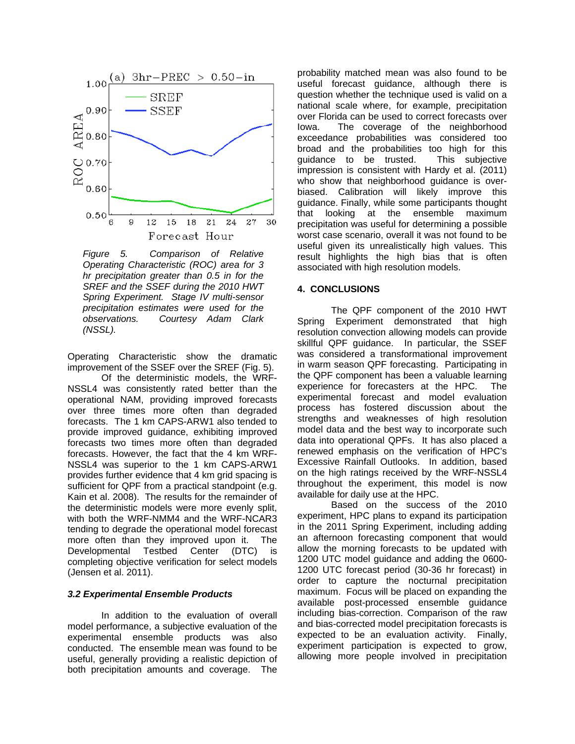

*Figure 5. Comparison of Relative Operating Characteristic (ROC) area for 3 hr precipitation greater than 0.5 in for the SREF and the SSEF during the 2010 HWT Spring Experiment. Stage IV multi-sensor precipitation estimates were used for the observations. Courtesy Adam Clark (NSSL).* 

Operating Characteristic show the dramatic improvement of the SSEF over the SREF (Fig. 5).

 Of the deterministic models, the WRF-NSSL4 was consistently rated better than the operational NAM, providing improved forecasts over three times more often than degraded forecasts. The 1 km CAPS-ARW1 also tended to provide improved guidance, exhibiting improved forecasts two times more often than degraded forecasts. However, the fact that the 4 km WRF-NSSL4 was superior to the 1 km CAPS-ARW1 provides further evidence that 4 km grid spacing is sufficient for QPF from a practical standpoint (e.g. Kain et al. 2008). The results for the remainder of the deterministic models were more evenly split, with both the WRF-NMM4 and the WRF-NCAR3 tending to degrade the operational model forecast more often than they improved upon it. The Developmental Testbed Center (DTC) is completing objective verification for select models (Jensen et al. 2011).

#### *3.2 Experimental Ensemble Products*

 In addition to the evaluation of overall model performance, a subjective evaluation of the experimental ensemble products was also conducted. The ensemble mean was found to be useful, generally providing a realistic depiction of both precipitation amounts and coverage. The

probability matched mean was also found to be useful forecast guidance, although there is question whether the technique used is valid on a national scale where, for example, precipitation over Florida can be used to correct forecasts over Iowa. The coverage of the neighborhood exceedance probabilities was considered too broad and the probabilities too high for this guidance to be trusted. This subjective impression is consistent with Hardy et al. (2011) who show that neighborhood guidance is overbiased. Calibration will likely improve this guidance. Finally, while some participants thought that looking at the ensemble maximum precipitation was useful for determining a possible worst case scenario, overall it was not found to be useful given its unrealistically high values. This result highlights the high bias that is often associated with high resolution models.

#### **4. CONCLUSIONS**

The QPF component of the 2010 HWT Spring Experiment demonstrated that high resolution convection allowing models can provide skillful QPF guidance. In particular, the SSEF was considered a transformational improvement in warm season QPF forecasting. Participating in the QPF component has been a valuable learning experience for forecasters at the HPC. The experimental forecast and model evaluation process has fostered discussion about the strengths and weaknesses of high resolution model data and the best way to incorporate such data into operational QPFs. It has also placed a renewed emphasis on the verification of HPC's Excessive Rainfall Outlooks. In addition, based on the high ratings received by the WRF-NSSL4 throughout the experiment, this model is now available for daily use at the HPC.

Based on the success of the 2010 experiment, HPC plans to expand its participation in the 2011 Spring Experiment, including adding an afternoon forecasting component that would allow the morning forecasts to be updated with 1200 UTC model guidance and adding the 0600- 1200 UTC forecast period (30-36 hr forecast) in order to capture the nocturnal precipitation maximum. Focus will be placed on expanding the available post-processed ensemble guidance including bias-correction. Comparison of the raw and bias-corrected model precipitation forecasts is expected to be an evaluation activity. Finally, experiment participation is expected to grow, allowing more people involved in precipitation